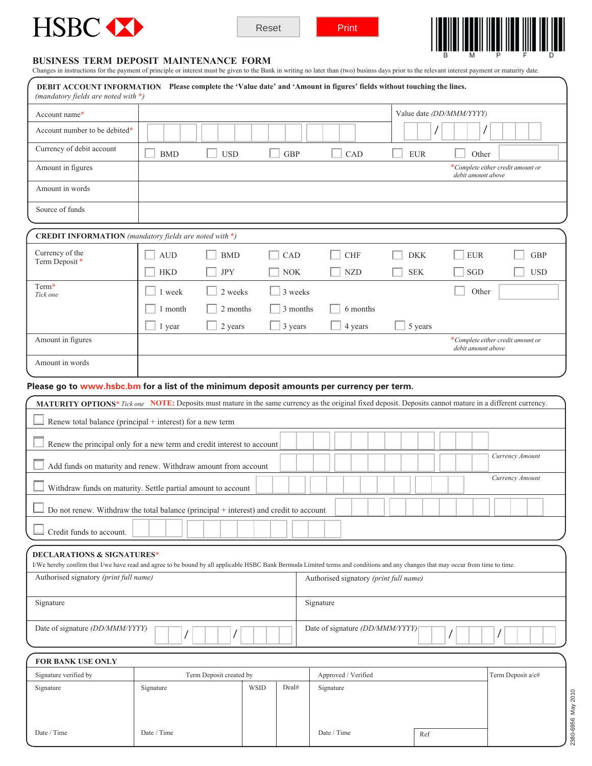





# **BUSINESS TERM DEPOSIT MAINTENANCE FORM**

Date / Time

Date / Time 2012 Date / Time 2014 Date / Time 2014 Part 2014 Part 2014 Part 2014 Part 2014 Part 2014 Part 2014 Part 2014 Part 2014 Part 2014 Part 2014 Part 2014 Part 2014 Part 2014 Part 2014 Part 2014 Part 2014 Part 2014 P

| Changes in instructions for the payment of principle or interest must be given to the Bank in writing no later than (two) businss days prior to the relevant interest payment or maturity date. |            |                         |             |            |  |                                                                                                                                                                                                                            |         |  |            |  |            |  |  |                   |                          |                                   |  |                 |            |  |
|-------------------------------------------------------------------------------------------------------------------------------------------------------------------------------------------------|------------|-------------------------|-------------|------------|--|----------------------------------------------------------------------------------------------------------------------------------------------------------------------------------------------------------------------------|---------|--|------------|--|------------|--|--|-------------------|--------------------------|-----------------------------------|--|-----------------|------------|--|
| DEBIT ACCOUNT INFORMATION Please complete the 'Value date' and 'Amount in figures' fields without touching the lines.<br>(mandatory fields are noted with $*)$                                  |            |                         |             |            |  |                                                                                                                                                                                                                            |         |  |            |  |            |  |  |                   |                          |                                   |  |                 |            |  |
| Account name*                                                                                                                                                                                   |            |                         |             |            |  |                                                                                                                                                                                                                            |         |  |            |  |            |  |  |                   | Value date (DD/MMM/YYYY) |                                   |  |                 |            |  |
| Account number to be debited*                                                                                                                                                                   |            |                         |             |            |  |                                                                                                                                                                                                                            |         |  |            |  |            |  |  |                   |                          |                                   |  |                 |            |  |
| Currency of debit account                                                                                                                                                                       | <b>BMD</b> | <b>USD</b>              |             | <b>GBP</b> |  |                                                                                                                                                                                                                            | CAD     |  |            |  | <b>EUR</b> |  |  |                   | Other                    |                                   |  |                 |            |  |
| Amount in figures                                                                                                                                                                               |            |                         |             |            |  |                                                                                                                                                                                                                            |         |  |            |  |            |  |  |                   | debit amount above       | *Complete either credit amount or |  |                 |            |  |
| Amount in words                                                                                                                                                                                 |            |                         |             |            |  |                                                                                                                                                                                                                            |         |  |            |  |            |  |  |                   |                          |                                   |  |                 |            |  |
| Source of funds                                                                                                                                                                                 |            |                         |             |            |  |                                                                                                                                                                                                                            |         |  |            |  |            |  |  |                   |                          |                                   |  |                 |            |  |
| <b>CREDIT INFORMATION</b> (mandatory fields are noted with $*$ )                                                                                                                                |            |                         |             |            |  |                                                                                                                                                                                                                            |         |  |            |  |            |  |  |                   |                          |                                   |  |                 |            |  |
| Currency of the<br>Term Deposit*                                                                                                                                                                | <b>AUD</b> | <b>BMD</b>              |             | CAD        |  | <b>CHF</b>                                                                                                                                                                                                                 |         |  | <b>DKK</b> |  |            |  |  | <b>EUR</b>        |                          |                                   |  | <b>GBP</b>      |            |  |
|                                                                                                                                                                                                 | <b>HKD</b> | <b>JPY</b>              |             | <b>NOK</b> |  | <b>NZD</b>                                                                                                                                                                                                                 |         |  |            |  |            |  |  |                   | SGD                      |                                   |  |                 | <b>USD</b> |  |
| Term*<br>Tick one                                                                                                                                                                               | 1 week     | 2 weeks                 |             | 3 weeks    |  |                                                                                                                                                                                                                            |         |  |            |  |            |  |  |                   | Other                    |                                   |  |                 |            |  |
|                                                                                                                                                                                                 | 1 month    | 2 months                |             | 3 months   |  | 6 months                                                                                                                                                                                                                   |         |  |            |  |            |  |  |                   |                          |                                   |  |                 |            |  |
|                                                                                                                                                                                                 | 1 year     | 2 years                 |             | 3 years    |  |                                                                                                                                                                                                                            | 4 years |  |            |  | 5 years    |  |  |                   |                          |                                   |  |                 |            |  |
| Amount in figures                                                                                                                                                                               |            |                         |             |            |  |                                                                                                                                                                                                                            |         |  |            |  |            |  |  |                   | debit amount above       | *Complete either credit amount or |  |                 |            |  |
| Amount in words                                                                                                                                                                                 |            |                         |             |            |  |                                                                                                                                                                                                                            |         |  |            |  |            |  |  |                   |                          |                                   |  |                 |            |  |
| Please go to www.hsbc.bm for a list of the minimum deposit amounts per currency per term.                                                                                                       |            |                         |             |            |  |                                                                                                                                                                                                                            |         |  |            |  |            |  |  |                   |                          |                                   |  |                 |            |  |
| MATURITY OPTIONS* Tick one NOTE: Deposits must mature in the same currency as the original fixed deposit. Deposits cannot mature in a different currency.                                       |            |                         |             |            |  |                                                                                                                                                                                                                            |         |  |            |  |            |  |  |                   |                          |                                   |  |                 |            |  |
| Renew total balance (principal $+$ interest) for a new term                                                                                                                                     |            |                         |             |            |  |                                                                                                                                                                                                                            |         |  |            |  |            |  |  |                   |                          |                                   |  |                 |            |  |
| Renew the principal only for a new term and credit interest to account                                                                                                                          |            |                         |             |            |  |                                                                                                                                                                                                                            |         |  |            |  |            |  |  |                   |                          |                                   |  |                 |            |  |
| Add funds on maturity and renew. Withdraw amount from account                                                                                                                                   |            |                         |             |            |  |                                                                                                                                                                                                                            |         |  |            |  |            |  |  |                   |                          | Currency Amount                   |  |                 |            |  |
| Withdraw funds on maturity. Settle partial amount to account                                                                                                                                    |            |                         |             |            |  |                                                                                                                                                                                                                            |         |  |            |  |            |  |  |                   |                          |                                   |  | Currency Amount |            |  |
| Do not renew. Withdraw the total balance (principal + interest) and credit to account                                                                                                           |            |                         |             |            |  |                                                                                                                                                                                                                            |         |  |            |  |            |  |  |                   |                          |                                   |  |                 |            |  |
| Credit funds to account.                                                                                                                                                                        |            |                         |             |            |  |                                                                                                                                                                                                                            |         |  |            |  |            |  |  |                   |                          |                                   |  |                 |            |  |
| <b>DECLARATIONS &amp; SIGNATURES*</b>                                                                                                                                                           |            |                         |             |            |  |                                                                                                                                                                                                                            |         |  |            |  |            |  |  |                   |                          |                                   |  |                 |            |  |
| Authorised signatory (print full name)                                                                                                                                                          |            |                         |             |            |  | I/We hereby confirm that I/we have read and agree to be bound by all applicable HSBC Bank Bermuda Limited terms and conditions and any changes that may occur from time to time.<br>Authorised signatory (print full name) |         |  |            |  |            |  |  |                   |                          |                                   |  |                 |            |  |
| Signature                                                                                                                                                                                       |            |                         |             |            |  | Signature                                                                                                                                                                                                                  |         |  |            |  |            |  |  |                   |                          |                                   |  |                 |            |  |
|                                                                                                                                                                                                 |            |                         |             |            |  |                                                                                                                                                                                                                            |         |  |            |  |            |  |  |                   |                          |                                   |  |                 |            |  |
| Date of signature (DD/MMM/YYYY)                                                                                                                                                                 |            |                         |             |            |  | Date of signature (DD/MMM/YYYY)                                                                                                                                                                                            |         |  |            |  |            |  |  |                   |                          |                                   |  |                 |            |  |
| FOR BANK USE ONLY                                                                                                                                                                               |            |                         |             |            |  |                                                                                                                                                                                                                            |         |  |            |  |            |  |  |                   |                          |                                   |  |                 |            |  |
| Signature verified by                                                                                                                                                                           |            | Term Deposit created by |             |            |  | Approved / Verified                                                                                                                                                                                                        |         |  |            |  |            |  |  | Term Deposit a/c# |                          |                                   |  |                 |            |  |
| Signature                                                                                                                                                                                       | Signature  |                         | <b>WSID</b> | Deal#      |  | Signature                                                                                                                                                                                                                  |         |  |            |  |            |  |  |                   |                          |                                   |  |                 |            |  |
|                                                                                                                                                                                                 |            |                         |             |            |  |                                                                                                                                                                                                                            |         |  |            |  |            |  |  |                   |                          |                                   |  |                 |            |  |

Date / Time